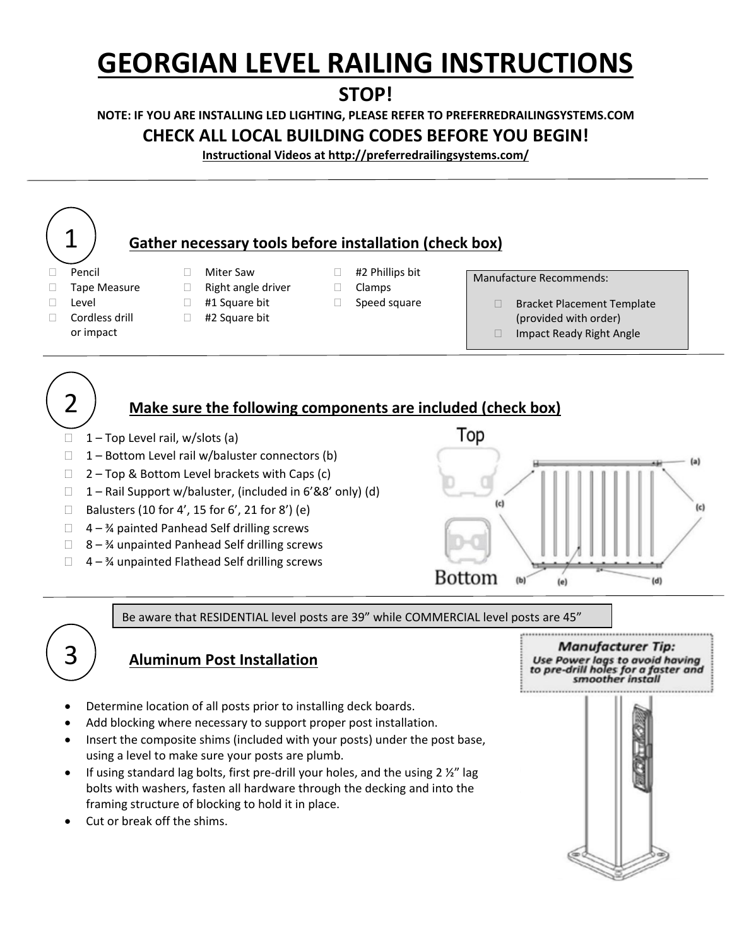# **GEORGIAN LEVEL RAILING INSTRUCTIONS**

# **STOP!**

**NOTE: IF YOU ARE INSTALLING LED LIGHTING, PLEASE REFER TO PREFERREDRAILINGSYSTEMS.COM**

# **CHECK ALL LOCAL BUILDING CODES BEFORE YOU BEGIN!**

**Instructional Videos at http://preferredrailingsystems.com/** 

#### 1 **Gather necessary tools before installation (check box)**  $\Box$  Pencil  $\Box$  Miter Saw  $\Box$  #2 Phillips bit Manufacture Recommends:  $\Box$  Tape Measure  $\Box$  Right angle driver  $\Box$  Clamps □ Level ■ #1 Square bit ■ Speed square **Bracket Placement Template** □ Cordless drill □ #2 Square bit (provided with order) or impact □ Impact Ready Right Angle 2 **Make sure the following components are included (check box)** Top  $\Box$  1 – Top Level rail, w/slots (a)  $\Box$  1 – Bottom Level rail w/baluster connectors (b)

- $\Box$  2 Top & Bottom Level brackets with Caps (c)
- $\Box$  1 Rail Support w/baluster, (included in 6'&8' only) (d)
- $\Box$  Balusters (10 for 4', 15 for 6', 21 for 8') (e)
- $\Box$  4 % painted Panhead Self drilling screws
- $\Box$  8 1/4 unpainted Panhead Self drilling screws
- $\Box$  4 % unpainted Flathead Self drilling screws



Be aware that RESIDENTIAL level posts are 39" while COMMERCIAL level posts are 45"

# **Aluminum Post Installation**

- Determine location of all posts prior to installing deck boards.
- Add blocking where necessary to support proper post installation.
- Insert the composite shims (included with your posts) under the post base, using a level to make sure your posts are plumb.
- If using standard lag bolts, first pre-drill your holes, and the using  $2 \frac{1}{2}$  lag bolts with washers, fasten all hardware through the decking and into the framing structure of blocking to hold it in place.
- Cut or break off the shims.

3

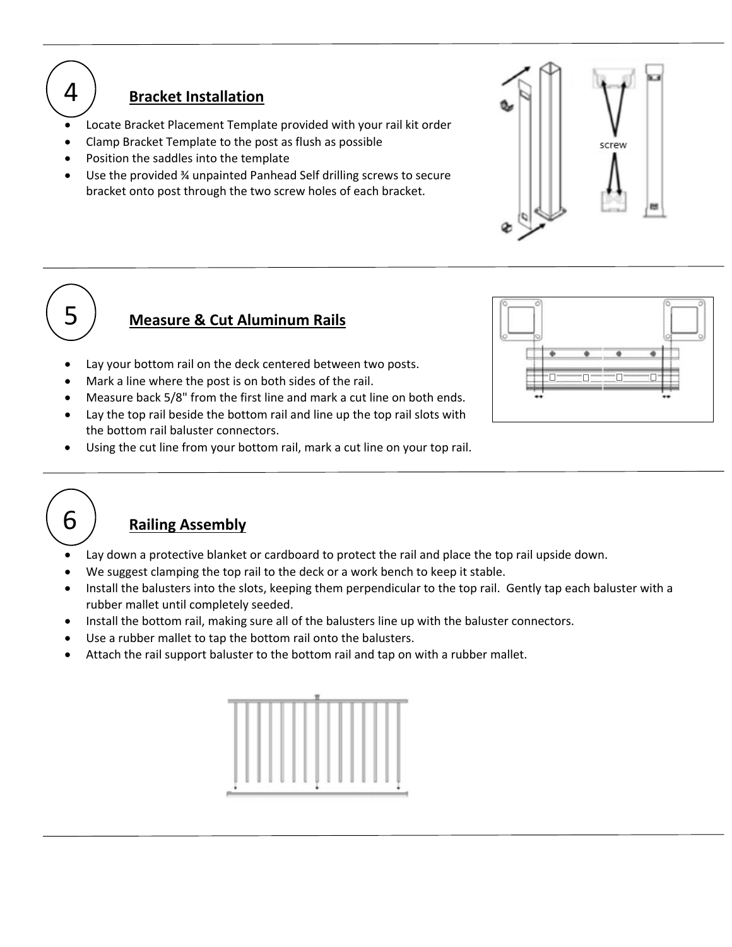

### **Bracket Installation**

- Locate Bracket Placement Template provided with your rail kit order
- Clamp Bracket Template to the post as flush as possible
- Position the saddles into the template
- Use the provided ¾ unpainted Panhead Self drilling screws to secure bracket onto post through the two screw holes of each bracket.





6

# **Measure & Cut Aluminum Rails**

- Lay your bottom rail on the deck centered between two posts.
- Mark a line where the post is on both sides of the rail.
- Measure back 5/8" from the first line and mark a cut line on both ends.
- Lay the top rail beside the bottom rail and line up the top rail slots with the bottom rail baluster connectors.
- Using the cut line from your bottom rail, mark a cut line on your top rail.



# **Railing Assembly**

- Lay down a protective blanket or cardboard to protect the rail and place the top rail upside down.
- We suggest clamping the top rail to the deck or a work bench to keep it stable.
- Install the balusters into the slots, keeping them perpendicular to the top rail. Gently tap each baluster with a rubber mallet until completely seeded.
- Install the bottom rail, making sure all of the balusters line up with the baluster connectors.
- Use a rubber mallet to tap the bottom rail onto the balusters.
- Attach the rail support baluster to the bottom rail and tap on with a rubber mallet.